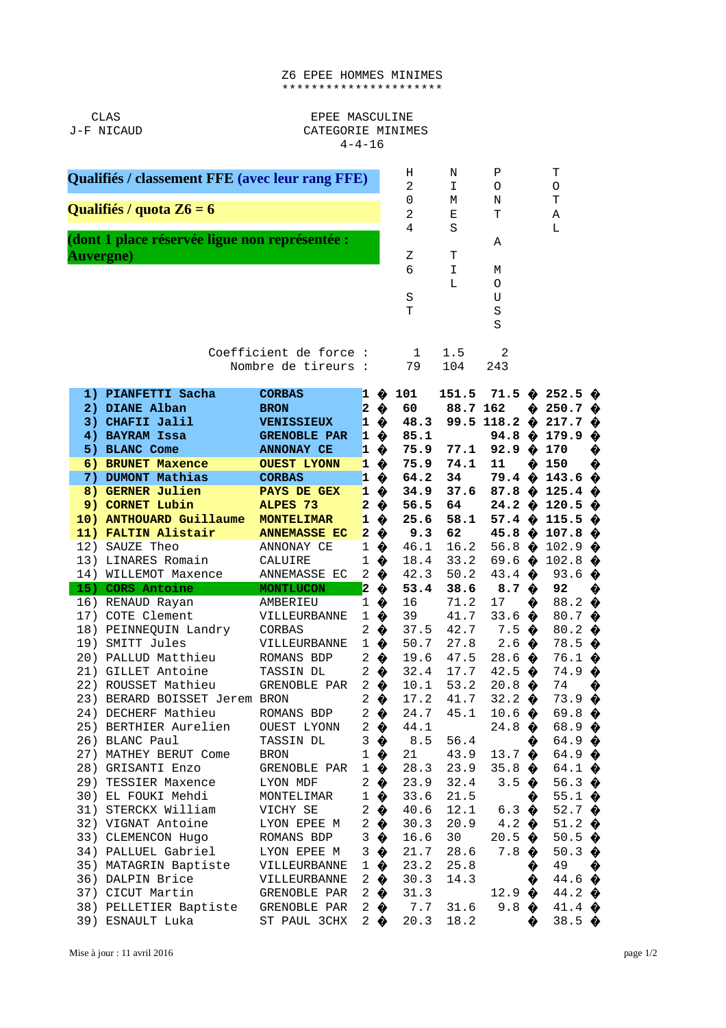## Z6 EPEE HOMMES MINIMES \*\*\*\*\*\*\*\*\*\*\*\*\*\*\*\*\*\*\*\*\*\*

CLAS J-F NICAUD

## EPEE MASCULINE CATEGORIE MINIMES  $4 - 4 - 16$

| Qualifiés / classement FFE (avec leur rang FFE) |                                                                                                                              |                                                                                                                     |                                                                                   |                                                                         | Н<br>$\overline{c}$                       | Ν<br>I                                       | P<br>0                                                                                                 |                       | т<br>0                                                                                                                                        |        |
|-------------------------------------------------|------------------------------------------------------------------------------------------------------------------------------|---------------------------------------------------------------------------------------------------------------------|-----------------------------------------------------------------------------------|-------------------------------------------------------------------------|-------------------------------------------|----------------------------------------------|--------------------------------------------------------------------------------------------------------|-----------------------|-----------------------------------------------------------------------------------------------------------------------------------------------|--------|
| Qualifiés / quota Z6 = 6                        |                                                                                                                              |                                                                                                                     |                                                                                   |                                                                         | 0<br>$\overline{c}$                       | М<br>Е                                       | N<br>Τ                                                                                                 |                       | т<br>Α                                                                                                                                        |        |
| <b>Auvergne</b> )                               | (dont 1 place réservée ligue non représentée :                                                                               |                                                                                                                     |                                                                                   |                                                                         | $\overline{4}$<br>Z<br>6<br>S<br>T        | S<br>т<br>I<br>L                             | A<br>M<br>0<br>U<br>$\mathsf S$<br>S                                                                   |                       | L                                                                                                                                             |        |
| Coefficient de force :<br>Nombre de tireurs :   |                                                                                                                              |                                                                                                                     |                                                                                   |                                                                         | $\mathbf 1$<br>79                         | 1.5<br>104                                   | 2<br>243                                                                                               |                       |                                                                                                                                               |        |
| 1)                                              | <b>PIANFETTI Sacha</b><br>2) DIANE Alban<br>3) CHAFII Jalil<br>4) BAYRAM Issa<br>5) BLANC Come<br>6) BRUNET Maxence          | <b>CORBAS</b><br><b>BRON</b><br><b>VENISSIEUX</b><br><b>GRENOBLE PAR</b><br><b>ANNONAY CE</b><br><b>OUEST LYONN</b> | $\mathbf{1}$<br>$\overline{\mathbf{c}}$<br>$\mathbf{1}$<br>$\mathbf{1}$<br>1<br>1 | ◈<br>♦<br>♦<br>♦<br>♦<br>♦                                              | 101<br>60<br>48.3<br>85.1<br>75.9<br>75.9 | 151.5<br>88.7 162<br>77.1<br>74.1            | 92.9 $\diamondsuit$<br>11                                                                              | ♦<br>♦                | 71.5 $\phi$ 252.5 $\phi$<br>$250.7 \; \; \; \; \; \;$<br>99.5 118.2 $\phi$ 217.7 $\phi$<br>94.8 $\hat{\phi}$ 179.9 $\hat{\phi}$<br>170<br>150 | ♦<br>♦ |
|                                                 | 7) DUMONT Mathias<br>8) GERNER Julien<br>9) CORNET Lubin<br>10) ANTHOUARD Guillaume                                          | <b>CORBAS</b><br><b>PAYS DE GEX</b><br>ALPES <sub>73</sub><br><b>MONTELIMAR</b>                                     | 1<br>$\mathbf{1}$<br>$\overline{\mathbf{c}}$<br>$\mathbf{1}$                      | ♦<br>♦<br>♦<br>♦                                                        | 64.2<br>34.9<br>56.5<br>25.6              | 34<br>37.6<br>64<br>58.1                     | 57.4 $\bullet$                                                                                         |                       | $79.4 \; \; \; \; 143.6$<br>87.8 $\bullet$ 125.4 $\bullet$<br>24.2 $\hat{\phi}$ 120.5 $\hat{\phi}$<br>115.5 $\Diamond$                        | ♦      |
|                                                 | 11) FALTIN Alistair<br>12) SAUZE Theo<br>13) LINARES Romain<br>14) WILLEMOT Maxence                                          | <b>ANNEMASSE EC</b><br>ANNONAY CE<br>CALUIRE<br>ANNEMASSE EC                                                        | $\overline{\mathbf{c}}$<br>$\mathbf{1}$<br>$\mathbf{1}$<br>$\overline{c}$         | ♦<br>♦<br>♦<br>♦                                                        | 9.3<br>46.1<br>18.4<br>42.3               | 62<br>16.2<br>33.2<br>50.2                   | 45.8 $\diamondsuit$<br>56.8 $\bullet$<br>69.6 $\bullet$<br>43.4 $\bullet$                              |                       | 107.8 $\diamondsuit$<br>102.9 $\diamondsuit$<br>$102.8$ $\diamond$<br>93.6 $\bullet$                                                          |        |
|                                                 | 15) CORS Antoine<br>16) RENAUD Rayan<br>17) COTE Clement<br>18) PEINNEQUIN Landry<br>19) SMITT Jules<br>20) PALLUD Matthieu  | <b>MONTLUCON</b><br>AMBERIEU<br>VILLEURBANNE<br><b>CORBAS</b><br>VILLEURBANNE<br><b>ROMANS BDP</b>                  | $\overline{\mathbf{z}}$<br>1<br>1<br>2<br>1<br>$\overline{c}$                     | ◈<br>♦<br>♦<br>♦<br>♦<br>♦                                              | 53.4<br>16<br>39<br>37.5<br>50.7<br>19.6  | 38.6<br>71.2<br>41.7<br>42.7<br>27.8<br>47.5 | 8.7 $\;$<br>17<br>33.6<br>7.5<br>2.6<br>28.6                                                           | ♦<br>♦<br>◈<br>♦<br>♦ | 92<br>88.2 $\bullet$<br>80.7 $\bullet$<br>80.2 $\bullet$<br>$78.5 \; \; \; \;$<br>76.1 $\bullet$                                              | ♦      |
|                                                 | 21) GILLET Antoine<br>22) ROUSSET Mathieu<br>23) BERARD BOISSET Jerem BRON<br>24) DECHERF Mathieu<br>25) BERTHIER Aurelien   | TASSIN DL<br>GRENOBLE PAR<br>ROMANS BDP<br>OUEST LYONN                                                              | $\overline{c}$<br>$\overline{c}$                                                  | ♦<br>$2 \bullet$<br>♦<br>$2 \bullet$<br>$2 \bullet$                     | 32.4<br>10.1<br>17.2<br>44.1              | 17.7<br>53.2<br>41.7<br>24.7 45.1            | 42.5<br>$20.8 \; \; \; \; \; \; \;$<br>32.2 $\bullet$<br>$10.6 \; \; \; \; \; \; \;$<br>24.8 $\bullet$ | ♦                     | $74.9 \; \; \;$<br>74<br>$73.9 \; \; \; \; \; \;$<br>69.8 $\diamondsuit$<br>68.9 $\diamondsuit$                                               | ♦      |
|                                                 | 26) BLANC Paul<br>27) MATHEY BERUT Come<br>28) GRISANTI Enzo<br>29) TESSIER Maxence<br>30) EL FOUKI Mehdi                    | TASSIN DL<br><b>BRON</b><br>GRENOBLE PAR<br>LYON MDF<br>MONTELIMAR                                                  |                                                                                   | $3 \bullet$<br>$1 \bullet$<br>$1 \bullet$<br>$2 \bullet$<br>$1 \bullet$ | 8.5<br>21<br>28.3<br>23.9<br>33.6         | 56.4<br>43.9<br>23.9<br>32.4<br>21.5         | 13.7 $\bullet$<br>35.8 $\bullet$<br>3.5 $\bullet$                                                      | ♦<br>♦                | 64.9 $\diamondsuit$<br>64.9 $\diamondsuit$<br>64.1 $\diamond$<br>56.3 $\bullet$<br>55.1 $\bullet$                                             |        |
|                                                 | 31) STERCKX William<br>32) VIGNAT Antoine<br>33) CLEMENCON Hugo<br>34) PALLUEL Gabriel<br>35) MATAGRIN Baptiste VILLEURBANNE | VICHY SE<br>LYON EPEE M<br>ROMANS BDP<br>LYON EPEE M                                                                |                                                                                   | $2 \bullet$<br>$2 \bullet$<br>$3 \bullet$<br>$3 \bullet$<br>$1 \bullet$ | 40.6<br>30.3<br>16.6<br>21.7<br>23.2      | 12.1<br>20.9<br>30<br>28.6<br>25.8           | $6.3 \bullet$<br>4.2 $\bullet$<br>$20.5 \; \; \; \; \; \;$<br>$7.8 \; \clubsuit$                       | ♦                     | 52.7 $\bullet$<br>51.2 $\bullet$<br>50.5 $\bullet$<br>50.3 $\bullet$<br>49                                                                    | ♦      |
|                                                 | 36) DALPIN Brice<br>37) CICUT Martin<br>38) PELLETIER Baptiste GRENOBLE PAR<br>39) ESNAULT Luka                              | VILLEURBANNE<br><b>GRENOBLE PAR</b><br>ST PAUL 3CHX                                                                 |                                                                                   | $2 \bullet$<br>$2 \bullet$<br>$2 \bullet$<br>$2 \bullet$                | 30.3<br>31.3<br>7.7<br>20.3               | 14.3<br>31.6<br>18.2                         | 12.9 $\diamondsuit$<br>$9.8 \; \clubsuit$                                                              | ♦<br>♦                | 44.6 $\bullet$<br>44.2 $\bullet$<br>41.4 $\bullet$<br>38.5 $\bullet$                                                                          |        |